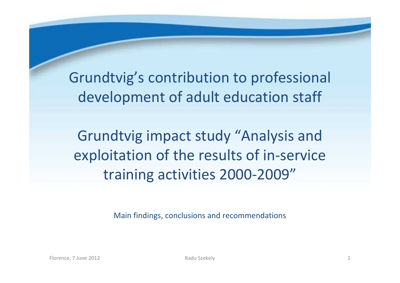Grundtvig's contribution to professional development of adult education staff

Grundtvig impact study "Analysis and exploitation of the results of in-service training activities 2000-2009"

Main findings, conclusions and recommendations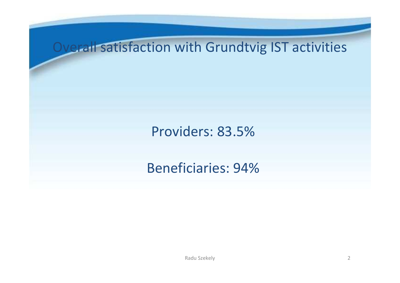### Overall satisfaction with Grundtvig IST activities

### Providers: 83.5%

### Beneficiaries: 94%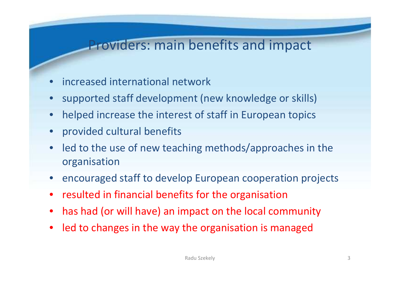### Providers: main benefits and impact

- •increased international network
- supported staff development (new knowledge or skills)
- $\bullet$ helped increase the interest of staff in European topics
- provided cultural benefits
- $\bullet$  led to the use of new teaching methods/approaches in the organisation
- encouraged staff to develop European cooperation projects
- resulted in financial benefits for the organisation
- $\bullet$ has had (or will have) an impact on the local community
- led to changes in the way the organisation is managed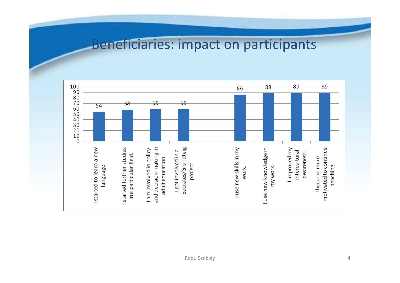#### Beneficiaries: impact on participants

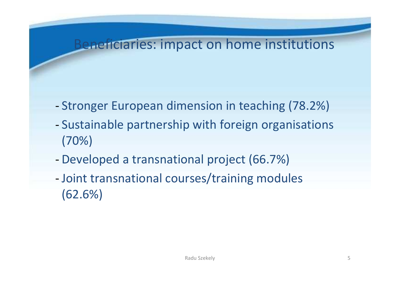### Beneficiaries: impact on home institutions

- -Stronger European dimension in teaching (78.2%)
- - Sustainable partnership with foreign organisations(70%)
- -Developed a transnational project (66.7%)
- - Joint transnational courses/training modules (62.6%)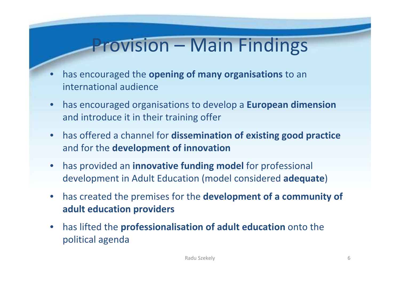# Provision – Main Findings

- • has encouraged the opening of many organisations to an international audience
- $\bullet$  has encouraged organisations to develop a European dimension and introduce it in their training offer
- $\bullet$ has offered a channel for dissemination of existing good practice and for the development of innovation
- $\bullet$  has provided an innovative funding model for professional development in Adult Education (model considered adequate)
- $\bullet$  has created the premises for the development of a community of adult education providers
- $\bullet$  has lifted the professionalisation of adult education onto the political agenda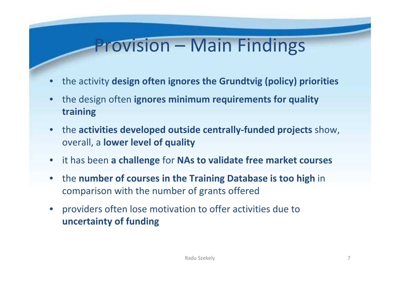## Provision – Main Findings

- •the activity design often ignores the Grundtvig (policy) priorities
- $\bullet$ the design often ignores minimum requirements for quality training
- the activities developed outside centrally-funded projects show, overall, a lower level of quality
- it has been a challenge for NAs to validate free market courses
- $\bullet$ • the number of courses in the Training Database is too high in comparison with the number of grants offered
- $\bullet$  providers often lose motivation to offer activities due to uncertainty of funding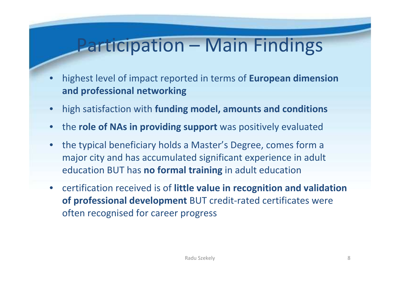# Participation – Main Findings

- • highest level of impact reported in terms of European dimension and professional networking
- $\bullet$ high satisfaction with funding model, amounts and conditions
- •the role of NAs in providing support was positively evaluated
- $\bullet$  the typical beneficiary holds a Master's Degree, comes form a major city and has accumulated significant experience in adult education BUT has no formal training in adult education
- certification received is of little value in recognition and validation of professional development BUT credit-rated certificates were often recognised for career progress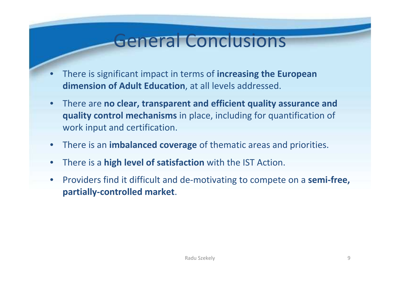## General Conclusions

- •There is significant impact in terms of increasing the European dimension of Adult Education, at all levels addressed.
- $\bullet$  There are no clear, transparent and efficient quality assurance and quality control mechanisms in place, including for quantification of work input and certification.
- $\bullet$ **•** There is an **imbalanced coverage** of thematic areas and priorities.
- •There is a **high level of satisfaction** with the IST Action.
- • Providers find it difficult and de-motivating to compete on a semi-free, partially-controlled market.